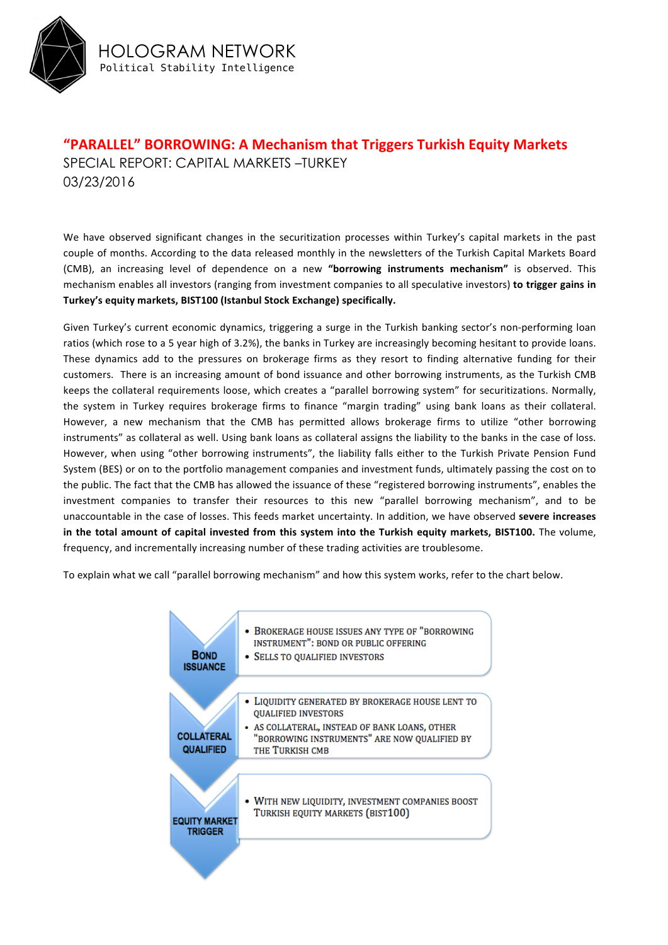

**"PARALLEL" BORROWING: A Mechanism that Triggers Turkish Equity Markets** SPECIAL REPORT: CAPITAL MARKETS –TURKEY 03/23/2016

We have observed significant changes in the securitization processes within Turkey's capital markets in the past couple of months. According to the data released monthly in the newsletters of the Turkish Capital Markets Board (CMB), an increasing level of dependence on a new "borrowing instruments mechanism" is observed. This mechanism enables all investors (ranging from investment companies to all speculative investors) **to trigger gains in** Turkey's equity markets, BIST100 (Istanbul Stock Exchange) specifically.

Given Turkey's current economic dynamics, triggering a surge in the Turkish banking sector's non-performing loan ratios (which rose to a 5 year high of 3.2%), the banks in Turkey are increasingly becoming hesitant to provide loans. These dynamics add to the pressures on brokerage firms as they resort to finding alternative funding for their customers. There is an increasing amount of bond issuance and other borrowing instruments, as the Turkish CMB keeps the collateral requirements loose, which creates a "parallel borrowing system" for securitizations. Normally, the system in Turkey requires brokerage firms to finance "margin trading" using bank loans as their collateral. However, a new mechanism that the CMB has permitted allows brokerage firms to utilize "other borrowing instruments" as collateral as well. Using bank loans as collateral assigns the liability to the banks in the case of loss. However, when using "other borrowing instruments", the liability falls either to the Turkish Private Pension Fund System (BES) or on to the portfolio management companies and investment funds, ultimately passing the cost on to the public. The fact that the CMB has allowed the issuance of these "registered borrowing instruments", enables the investment companies to transfer their resources to this new "parallel borrowing mechanism", and to be unaccountable in the case of losses. This feeds market uncertainty. In addition, we have observed **severe increases** in the total amount of capital invested from this system into the Turkish equity markets, BIST100. The volume, frequency, and incrementally increasing number of these trading activities are troublesome.

To explain what we call "parallel borrowing mechanism" and how this system works, refer to the chart below.

| <b>BOND</b><br><b>ISSUANCE</b>         | BROKERAGE HOUSE ISSUES ANY TYPE OF "BORROWING<br><b>INSTRUMENT": BOND OR PUBLIC OFFERING</b><br>• SELLS TO QUALIFIED INVESTORS                                                                   |
|----------------------------------------|--------------------------------------------------------------------------------------------------------------------------------------------------------------------------------------------------|
| <b>COLLATERAL</b><br><b>QUALIFIED</b>  | LIQUIDITY GENERATED BY BROKERAGE HOUSE LENT TO<br><b>QUALIFIED INVESTORS</b><br>- AS COLLATERAL, INSTEAD OF BANK LOANS, OTHER<br>"BORROWING INSTRUMENTS" ARE NOW QUALIFIED BY<br>THE TURKISH CMB |
| <b>EQUITY MARKET</b><br><b>TRIGGER</b> | • WITH NEW LIQUIDITY, INVESTMENT COMPANIES BOOST<br>TURKISH EQUITY MARKETS (BIST100)                                                                                                             |
|                                        |                                                                                                                                                                                                  |